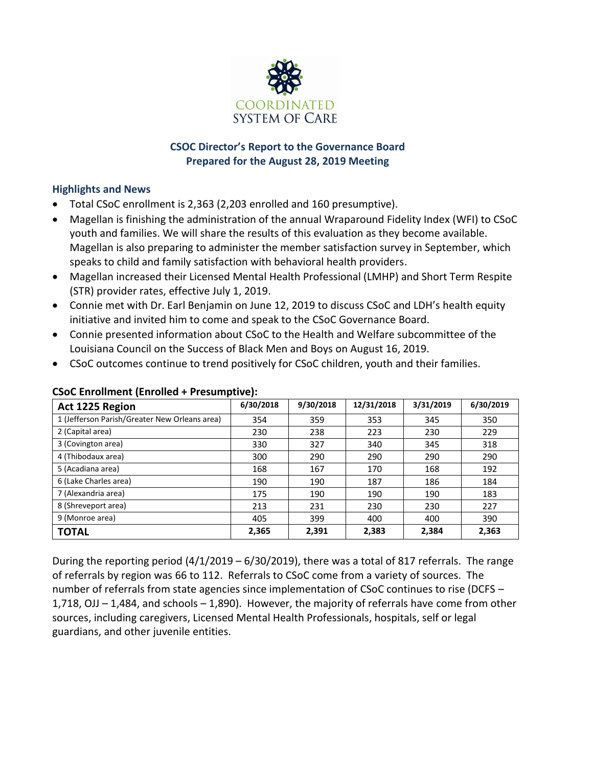

# **CSOC Director's Report to the Governance Board Prepared for the August 28, 2019 Meeting**

# **Highlights and News**

- Total CSoC enrollment is 2,363 (2,203 enrolled and 160 presumptive).
- Magellan is finishing the administration of the annual Wraparound Fidelity Index (WFI) to CSoC youth and families. We will share the results of this evaluation as they become available. Magellan is also preparing to administer the member satisfaction survey in September, which speaks to child and family satisfaction with behavioral health providers.
- Magellan increased their Licensed Mental Health Professional (LMHP) and Short Term Respite (STR) provider rates, effective July 1, 2019.
- Connie met with Dr. Earl Benjamin on June 12, 2019 to discuss CSoC and LDH's health equity initiative and invited him to come and speak to the CSoC Governance Board.
- Connie presented information about CSoC to the Health and Welfare subcommittee of the Louisiana Council on the Success of Black Men and Boys on August 16, 2019.
- CSoC outcomes continue to trend positively for CSoC children, youth and their families.

| Act 1225 Region                               | 6/30/2018 | 9/30/2018 | 12/31/2018 | 3/31/2019 | 6/30/2019 |
|-----------------------------------------------|-----------|-----------|------------|-----------|-----------|
| 1 (Jefferson Parish/Greater New Orleans area) | 354       | 359       | 353        | 345       | 350       |
| 2 (Capital area)                              | 230       | 238       | 223        | 230       | 229       |
| 3 (Covington area)                            | 330       | 327       | 340        | 345       | 318       |
| 4 (Thibodaux area)                            | 300       | 290       | 290        | 290       | 290       |
| 5 (Acadiana area)                             | 168       | 167       | 170        | 168       | 192       |
| 6 (Lake Charles area)                         | 190       | 190       | 187        | 186       | 184       |
| 7 (Alexandria area)                           | 175       | 190       | 190        | 190       | 183       |
| 8 (Shreveport area)                           | 213       | 231       | 230        | 230       | 227       |
| 9 (Monroe area)                               | 405       | 399       | 400        | 400       | 390       |
| <b>TOTAL</b>                                  | 2,365     | 2,391     | 2,383      | 2,384     | 2,363     |

# **CSoC Enrollment (Enrolled + Presumptive):**

During the reporting period (4/1/2019 – 6/30/2019), there was a total of 817 referrals. The range of referrals by region was 66 to 112. Referrals to CSoC come from a variety of sources. The number of referrals from state agencies since implementation of CSoC continues to rise (DCFS – 1,718, OJJ – 1,484, and schools – 1,890). However, the majority of referrals have come from other sources, including caregivers, Licensed Mental Health Professionals, hospitals, self or legal guardians, and other juvenile entities.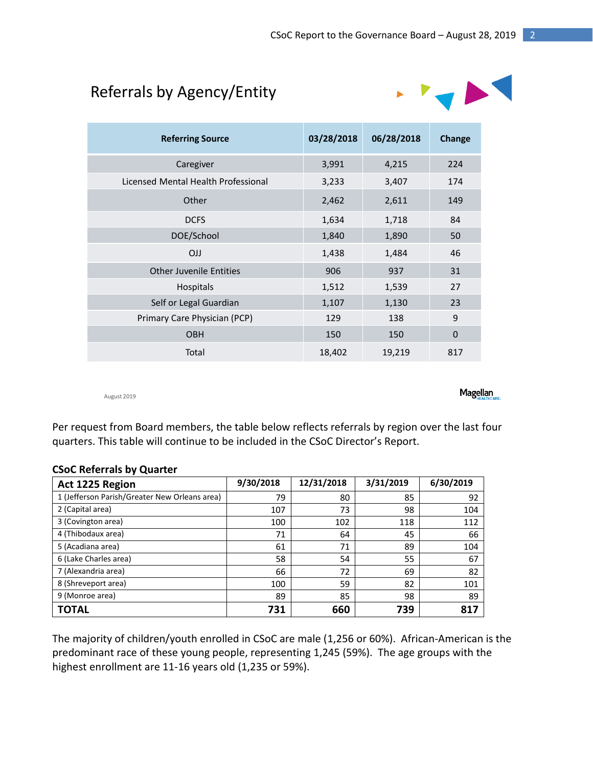# Referrals by Agency/Entity



| <b>Referring Source</b>             | 03/28/2018 | 06/28/2018 | Change      |
|-------------------------------------|------------|------------|-------------|
| Caregiver                           | 3,991      | 4,215      | 224         |
| Licensed Mental Health Professional | 3,233      | 3,407      | 174         |
| Other                               | 2,462      | 2,611      | 149         |
| <b>DCFS</b>                         | 1,634      | 1,718      | 84          |
| DOE/School                          | 1,840      | 1,890      | 50          |
| <b>OJJ</b>                          | 1,438      | 1,484      | 46          |
| <b>Other Juvenile Entities</b>      | 906        | 937        | 31          |
| <b>Hospitals</b>                    | 1,512      | 1,539      | 27          |
| Self or Legal Guardian              | 1,107      | 1,130      | 23          |
| Primary Care Physician (PCP)        | 129        | 138        | 9           |
| <b>OBH</b>                          | 150        | 150        | $\mathbf 0$ |
| Total                               | 18,402     | 19,219     | 817         |

August 2019

**Magellan** 

Per request from Board members, the table below reflects referrals by region over the last four quarters. This table will continue to be included in the CSoC Director's Report.

#### **CSoC Referrals by Quarter**

| Act 1225 Region                               | 9/30/2018 | 12/31/2018 | 3/31/2019 | 6/30/2019 |
|-----------------------------------------------|-----------|------------|-----------|-----------|
| 1 (Jefferson Parish/Greater New Orleans area) | 79        | 80         | 85        | 92        |
| 2 (Capital area)                              | 107       | 73         | 98        | 104       |
| 3 (Covington area)                            | 100       | 102        | 118       | 112       |
| 4 (Thibodaux area)                            | 71        | 64         | 45        | 66        |
| 5 (Acadiana area)                             | 61        | 71         | 89        | 104       |
| 6 (Lake Charles area)                         | 58        | 54         | 55        | 67        |
| 7 (Alexandria area)                           | 66        | 72         | 69        | 82        |
| 8 (Shreveport area)                           | 100       | 59         | 82        | 101       |
| 9 (Monroe area)                               | 89        | 85         | 98        | 89        |
| <b>TOTAL</b>                                  | 731       | 660        | 739       | 817       |

The majority of children/youth enrolled in CSoC are male (1,256 or 60%). African-American is the predominant race of these young people, representing 1,245 (59%). The age groups with the highest enrollment are 11-16 years old (1,235 or 59%).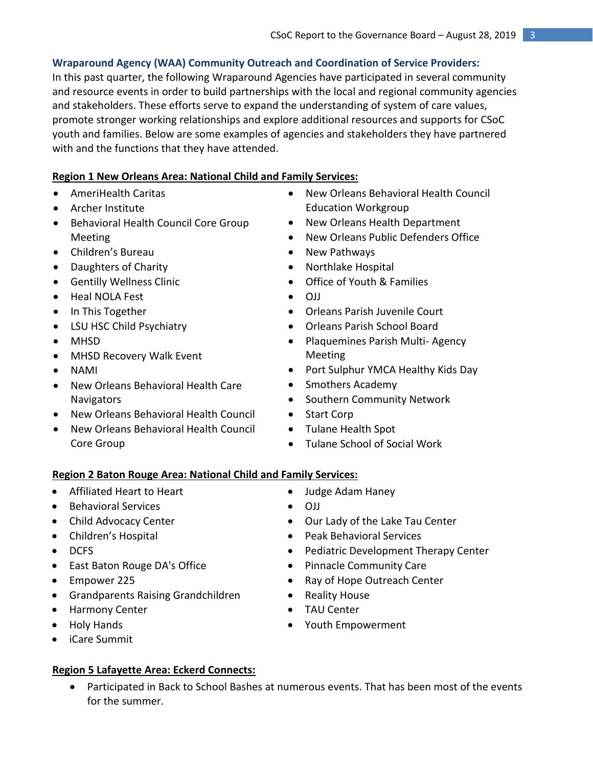# **Wraparound Agency (WAA) Community Outreach and Coordination of Service Providers:**

In this past quarter, the following Wraparound Agencies have participated in several community and resource events in order to build partnerships with the local and regional community agencies and stakeholders. These efforts serve to expand the understanding of system of care values, promote stronger working relationships and explore additional resources and supports for CSoC youth and families. Below are some examples of agencies and stakeholders they have partnered with and the functions that they have attended.

# **Region 1 New Orleans Area: National Child and Family Services:**

- AmeriHealth Caritas
- Archer Institute
- **•** Behavioral Health Council Core Group Meeting
- Children's Bureau
- Daughters of Charity
- Gentilly Wellness Clinic
- Heal NOLA Fest
- In This Together
- LSU HSC Child Psychiatry
- MHSD
- MHSD Recovery Walk Event
- NAMI
- New Orleans Behavioral Health Care **Navigators**
- New Orleans Behavioral Health Council
- New Orleans Behavioral Health Council Core Group
- New Orleans Behavioral Health Council Education Workgroup
- New Orleans Health Department
- New Orleans Public Defenders Office
- New Pathways
- Northlake Hospital
- Office of Youth & Families
- $O<sub>II</sub>$
- Orleans Parish Juvenile Court
- Orleans Parish School Board
- Plaquemines Parish Multi-Agency Meeting
- Port Sulphur YMCA Healthy Kids Day
- Smothers Academy
- **•** Southern Community Network
- Start Corp
- Tulane Health Spot
- Tulane School of Social Work

# **Region 2 Baton Rouge Area: National Child and Family Services:**

- Affiliated Heart to Heart
- Behavioral Services
- Child Advocacy Center
- Children's Hospital
- $\bullet$  DCFS
- East Baton Rouge DA's Office
- Empower 225
- Grandparents Raising Grandchildren
- Harmony Center
- Holy Hands
- iCare Summit

# **Region 5 Lafayette Area: Eckerd Connects:**

- Judge Adam Haney
- OJJ
- Our Lady of the Lake Tau Center
- Peak Behavioral Services
- Pediatric Development Therapy Center
- Pinnacle Community Care
- Ray of Hope Outreach Center
- Reality House
- TAU Center
- Youth Empowerment
- Participated in Back to School Bashes at numerous events. That has been most of the events for the summer.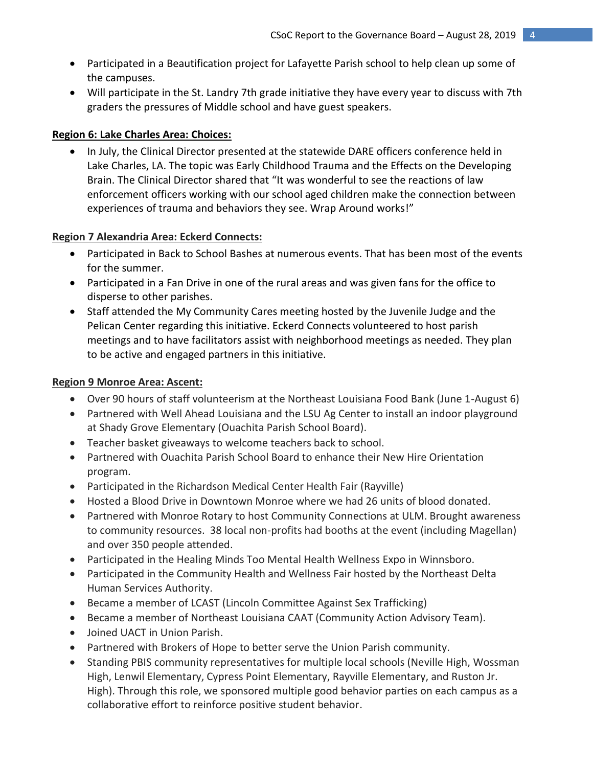- Participated in a Beautification project for Lafayette Parish school to help clean up some of the campuses.
- Will participate in the St. Landry 7th grade initiative they have every year to discuss with 7th graders the pressures of Middle school and have guest speakers.

# **Region 6: Lake Charles Area: Choices:**

 In July, the Clinical Director presented at the statewide DARE officers conference held in Lake Charles, LA. The topic was Early Childhood Trauma and the Effects on the Developing Brain. The Clinical Director shared that "It was wonderful to see the reactions of law enforcement officers working with our school aged children make the connection between experiences of trauma and behaviors they see. Wrap Around works!"

# **Region 7 Alexandria Area: Eckerd Connects:**

- Participated in Back to School Bashes at numerous events. That has been most of the events for the summer.
- Participated in a Fan Drive in one of the rural areas and was given fans for the office to disperse to other parishes.
- Staff attended the My Community Cares meeting hosted by the Juvenile Judge and the Pelican Center regarding this initiative. Eckerd Connects volunteered to host parish meetings and to have facilitators assist with neighborhood meetings as needed. They plan to be active and engaged partners in this initiative.

# **Region 9 Monroe Area: Ascent:**

- Over 90 hours of staff volunteerism at the Northeast Louisiana Food Bank (June 1-August 6)
- Partnered with Well Ahead Louisiana and the LSU Ag Center to install an indoor playground at Shady Grove Elementary (Ouachita Parish School Board).
- Teacher basket giveaways to welcome teachers back to school.
- Partnered with Ouachita Parish School Board to enhance their New Hire Orientation program.
- Participated in the Richardson Medical Center Health Fair (Rayville)
- Hosted a Blood Drive in Downtown Monroe where we had 26 units of blood donated.
- Partnered with Monroe Rotary to host Community Connections at ULM. Brought awareness to community resources. 38 local non-profits had booths at the event (including Magellan) and over 350 people attended.
- Participated in the Healing Minds Too Mental Health Wellness Expo in Winnsboro.
- Participated in the Community Health and Wellness Fair hosted by the Northeast Delta Human Services Authority.
- Became a member of LCAST (Lincoln Committee Against Sex Trafficking)
- Became a member of Northeast Louisiana CAAT (Community Action Advisory Team).
- Joined UACT in Union Parish.
- Partnered with Brokers of Hope to better serve the Union Parish community.
- Standing PBIS community representatives for multiple local schools (Neville High, Wossman High, Lenwil Elementary, Cypress Point Elementary, Rayville Elementary, and Ruston Jr. High). Through this role, we sponsored multiple good behavior parties on each campus as a collaborative effort to reinforce positive student behavior.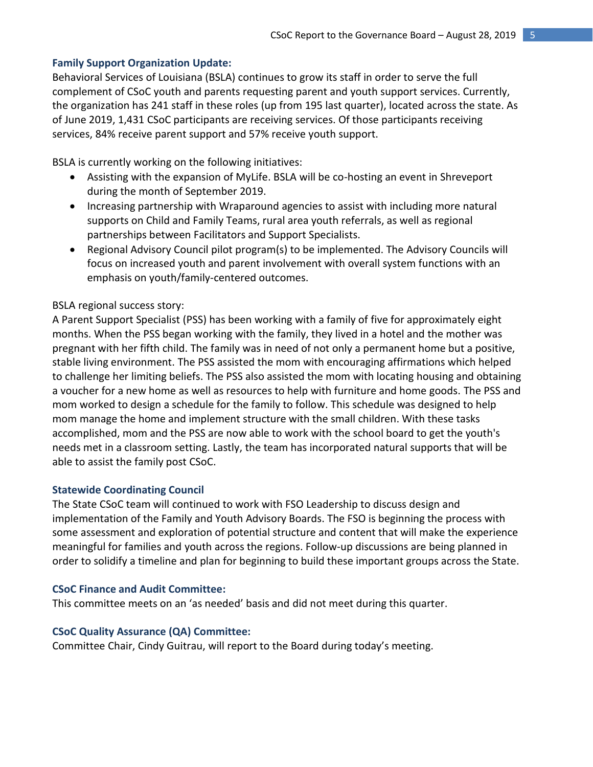# **Family Support Organization Update:**

Behavioral Services of Louisiana (BSLA) continues to grow its staff in order to serve the full complement of CSoC youth and parents requesting parent and youth support services. Currently, the organization has 241 staff in these roles (up from 195 last quarter), located across the state. As of June 2019, 1,431 CSoC participants are receiving services. Of those participants receiving services, 84% receive parent support and 57% receive youth support.

BSLA is currently working on the following initiatives:

- Assisting with the expansion of MyLife. BSLA will be co-hosting an event in Shreveport during the month of September 2019.
- Increasing partnership with Wraparound agencies to assist with including more natural supports on Child and Family Teams, rural area youth referrals, as well as regional partnerships between Facilitators and Support Specialists.
- Regional Advisory Council pilot program(s) to be implemented. The Advisory Councils will focus on increased youth and parent involvement with overall system functions with an emphasis on youth/family-centered outcomes.

#### BSLA regional success story:

A Parent Support Specialist (PSS) has been working with a family of five for approximately eight months. When the PSS began working with the family, they lived in a hotel and the mother was pregnant with her fifth child. The family was in need of not only a permanent home but a positive, stable living environment. The PSS assisted the mom with encouraging affirmations which helped to challenge her limiting beliefs. The PSS also assisted the mom with locating housing and obtaining a voucher for a new home as well as resources to help with furniture and home goods. The PSS and mom worked to design a schedule for the family to follow. This schedule was designed to help mom manage the home and implement structure with the small children. With these tasks accomplished, mom and the PSS are now able to work with the school board to get the youth's needs met in a classroom setting. Lastly, the team has incorporated natural supports that will be able to assist the family post CSoC.

#### **Statewide Coordinating Council**

The State CSoC team will continued to work with FSO Leadership to discuss design and implementation of the Family and Youth Advisory Boards. The FSO is beginning the process with some assessment and exploration of potential structure and content that will make the experience meaningful for families and youth across the regions. Follow-up discussions are being planned in order to solidify a timeline and plan for beginning to build these important groups across the State.

#### **CSoC Finance and Audit Committee:**

This committee meets on an 'as needed' basis and did not meet during this quarter.

#### **CSoC Quality Assurance (QA) Committee:**

Committee Chair, Cindy Guitrau, will report to the Board during today's meeting.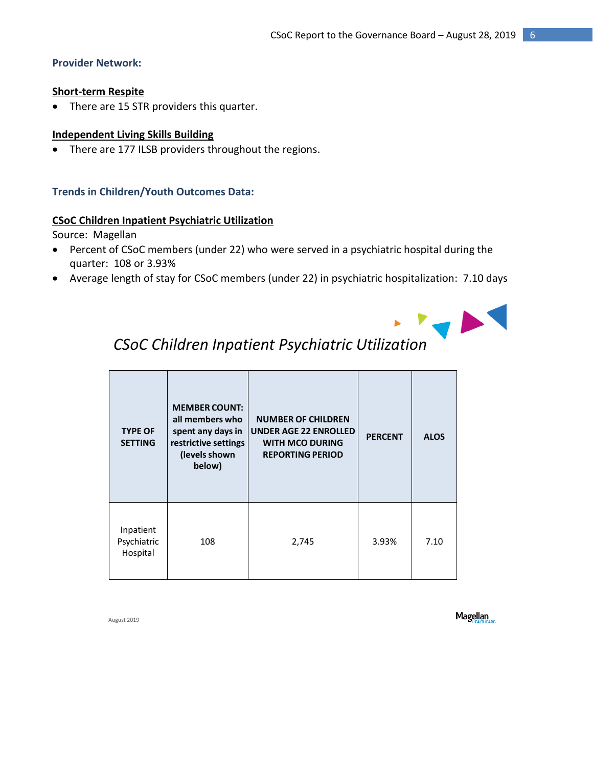# **Provider Network:**

# **Short-term Respite**

• There are 15 STR providers this quarter.

# **Independent Living Skills Building**

• There are 177 ILSB providers throughout the regions.

# **Trends in Children/Youth Outcomes Data:**

#### **CSoC Children Inpatient Psychiatric Utilization**

Source: Magellan

- Percent of CSoC members (under 22) who were served in a psychiatric hospital during the quarter: 108 or 3.93%
- Average length of stay for CSoC members (under 22) in psychiatric hospitalization: 7.10 days



# *CSoC Children Inpatient Psychiatric Utilization*

| <b>TYPE OF</b><br><b>SETTING</b>     | <b>MEMBER COUNT:</b><br>all members who<br>spent any days in<br>restrictive settings<br>(levels shown<br>below) | <b>NUMBER OF CHILDREN</b><br><b>UNDER AGE 22 ENROLLED</b><br><b>WITH MCO DURING</b><br><b>REPORTING PERIOD</b> | <b>PERCENT</b> | <b>ALOS</b> |
|--------------------------------------|-----------------------------------------------------------------------------------------------------------------|----------------------------------------------------------------------------------------------------------------|----------------|-------------|
| Inpatient<br>Psychiatric<br>Hospital | 108                                                                                                             | 2,745                                                                                                          | 3.93%          | 7.10        |

August 2019

**Magellan**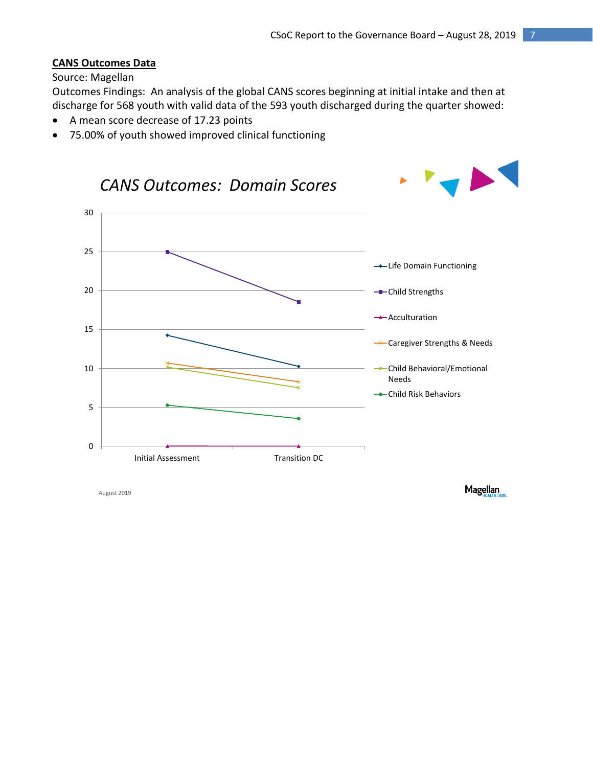# **CANS Outcomes Data**

#### Source: Magellan

Outcomes Findings: An analysis of the global CANS scores beginning at initial intake and then at discharge for 568 youth with valid data of the 593 youth discharged during the quarter showed:

- A mean score decrease of 17.23 points
- 75.00% of youth showed improved clinical functioning



August 2019

**Magellan**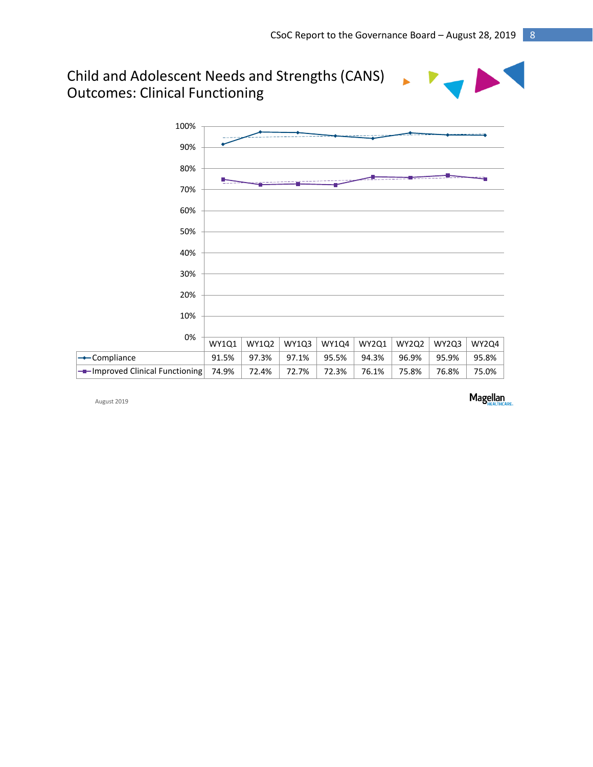# Child and Adolescent Needs and Strengths (CANS) Outcomes: Clinical Functioning



August 2019

Magellan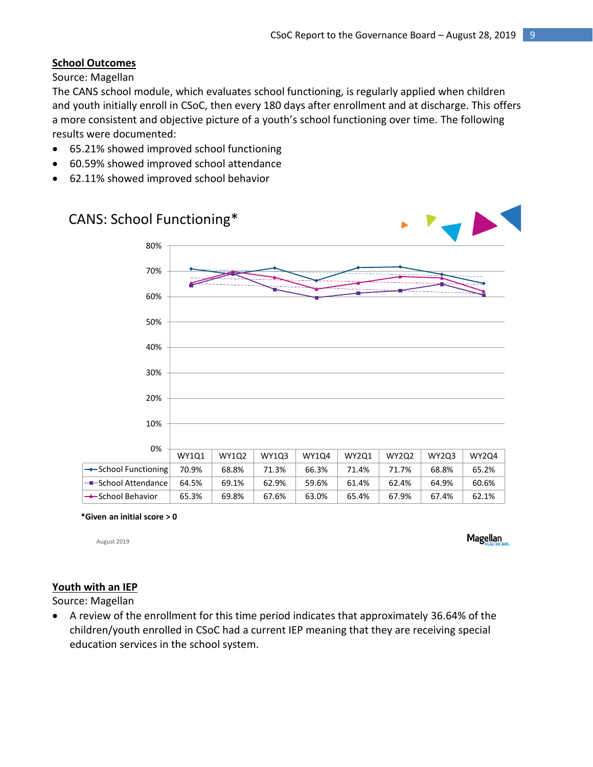# **School Outcomes**

Source: Magellan

The CANS school module, which evaluates school functioning, is regularly applied when children and youth initially enroll in CSoC, then every 180 days after enrollment and at discharge. This offers a more consistent and objective picture of a youth's school functioning over time. The following results were documented:

- 65.21% showed improved school functioning
- 60.59% showed improved school attendance
- 62.11% showed improved school behavior

# CANS: School Functioning\* WY1Q1 WY1Q2 WY1Q3 WY1Q4 WY2Q1 WY2Q2 WY2Q3 WY2Q4 School Functioning 70.9% 68.8% 71.3% 66.3% 71.4% 71.7% 68.8% 65.2%  $\bullet$  School Attendance 64.5% 69.1% 62.9% 59.6% 61.4% 62.4% 64.9% 60.6% School Behavior 65.3% 69.8% 67.6% 63.0% 65.4% 67.9% 67.4% 62.1% 0% 10% 20% 30% 40% 50% 60% 70% 80%

**\*Given an initial score > 0**

August 2019

**Magellan** 

# **Youth with an IEP**

Source: Magellan

 A review of the enrollment for this time period indicates that approximately 36.64% of the children/youth enrolled in CSoC had a current IEP meaning that they are receiving special education services in the school system.